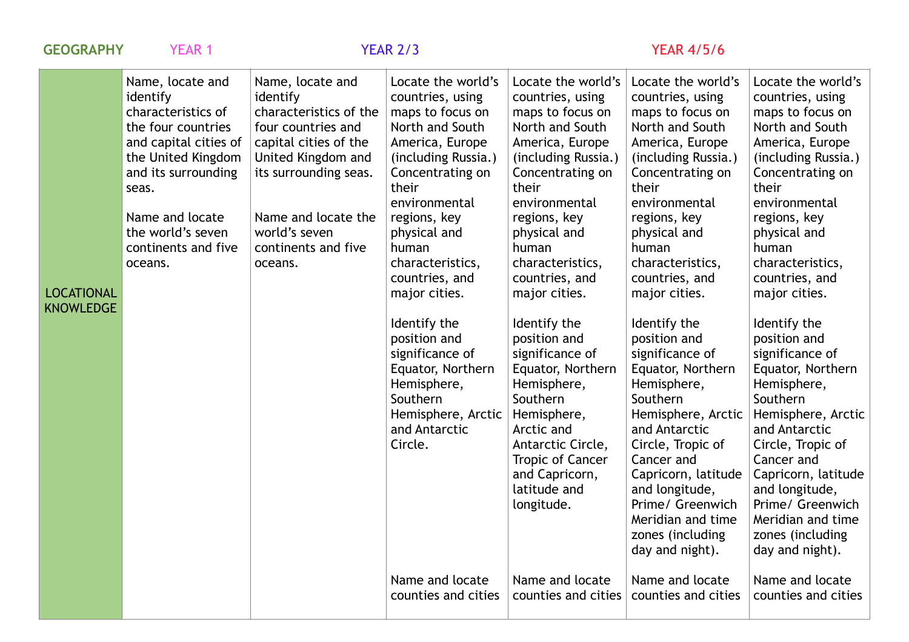| <b>GEOGRAPHY</b>                      | <b>YEAR 1</b>                                                                                                                                                                                                                     |                                                                                                                                                                                                                                | <b>YEAR 2/3</b>                                                                                                                                                                                                                                                                                                                                                                                                            | <b>YEAR 4/5/6</b>                                                                                                                                                                                                                                                                                                                                                                                                                                                                              |                                                                                                                                                                                                                                                                                                                                                                                                                                                                                                                                                                             |                                                                                                                                                                                                                                                                                                                                                                                                                                                                                                                                                                             |
|---------------------------------------|-----------------------------------------------------------------------------------------------------------------------------------------------------------------------------------------------------------------------------------|--------------------------------------------------------------------------------------------------------------------------------------------------------------------------------------------------------------------------------|----------------------------------------------------------------------------------------------------------------------------------------------------------------------------------------------------------------------------------------------------------------------------------------------------------------------------------------------------------------------------------------------------------------------------|------------------------------------------------------------------------------------------------------------------------------------------------------------------------------------------------------------------------------------------------------------------------------------------------------------------------------------------------------------------------------------------------------------------------------------------------------------------------------------------------|-----------------------------------------------------------------------------------------------------------------------------------------------------------------------------------------------------------------------------------------------------------------------------------------------------------------------------------------------------------------------------------------------------------------------------------------------------------------------------------------------------------------------------------------------------------------------------|-----------------------------------------------------------------------------------------------------------------------------------------------------------------------------------------------------------------------------------------------------------------------------------------------------------------------------------------------------------------------------------------------------------------------------------------------------------------------------------------------------------------------------------------------------------------------------|
| <b>LOCATIONAL</b><br><b>KNOWLEDGE</b> | Name, locate and<br>identify<br>characteristics of<br>the four countries<br>and capital cities of<br>the United Kingdom<br>and its surrounding<br>seas.<br>Name and locate<br>the world's seven<br>continents and five<br>oceans. | Name, locate and<br>identify<br>characteristics of the<br>four countries and<br>capital cities of the<br>United Kingdom and<br>its surrounding seas.<br>Name and locate the<br>world's seven<br>continents and five<br>oceans. | Locate the world's<br>countries, using<br>maps to focus on<br>North and South<br>America, Europe<br>(including Russia.)<br>Concentrating on<br>their<br>environmental<br>regions, key<br>physical and<br>human<br>characteristics,<br>countries, and<br>major cities.<br>Identify the<br>position and<br>significance of<br>Equator, Northern<br>Hemisphere,<br>Southern<br>Hemisphere, Arctic<br>and Antarctic<br>Circle. | Locate the world's<br>countries, using<br>maps to focus on<br>North and South<br>America, Europe<br>(including Russia.)<br>Concentrating on<br>their<br>environmental<br>regions, key<br>physical and<br>human<br>characteristics,<br>countries, and<br>major cities.<br>Identify the<br>position and<br>significance of<br>Equator, Northern<br>Hemisphere,<br>Southern<br>Hemisphere,<br>Arctic and<br>Antarctic Circle,<br>Tropic of Cancer<br>and Capricorn,<br>latitude and<br>longitude. | Locate the world's<br>countries, using<br>maps to focus on<br>North and South<br>America, Europe<br>(including Russia.)<br>Concentrating on<br>their<br>environmental<br>regions, key<br>physical and<br>human<br>characteristics,<br>countries, and<br>major cities.<br>Identify the<br>position and<br>significance of<br>Equator, Northern<br>Hemisphere,<br>Southern<br>Hemisphere, Arctic<br>and Antarctic<br>Circle, Tropic of<br>Cancer and<br>Capricorn, latitude<br>and longitude,<br>Prime/ Greenwich<br>Meridian and time<br>zones (including<br>day and night). | Locate the world's<br>countries, using<br>maps to focus on<br>North and South<br>America, Europe<br>(including Russia.)<br>Concentrating on<br>their<br>environmental<br>regions, key<br>physical and<br>human<br>characteristics,<br>countries, and<br>major cities.<br>Identify the<br>position and<br>significance of<br>Equator, Northern<br>Hemisphere,<br>Southern<br>Hemisphere, Arctic<br>and Antarctic<br>Circle, Tropic of<br>Cancer and<br>Capricorn, latitude<br>and longitude,<br>Prime/ Greenwich<br>Meridian and time<br>zones (including<br>day and night). |
|                                       |                                                                                                                                                                                                                                   |                                                                                                                                                                                                                                | Name and locate<br>counties and cities                                                                                                                                                                                                                                                                                                                                                                                     | Name and locate<br>counties and cities                                                                                                                                                                                                                                                                                                                                                                                                                                                         | Name and locate<br>counties and cities                                                                                                                                                                                                                                                                                                                                                                                                                                                                                                                                      | Name and locate<br>counties and cities                                                                                                                                                                                                                                                                                                                                                                                                                                                                                                                                      |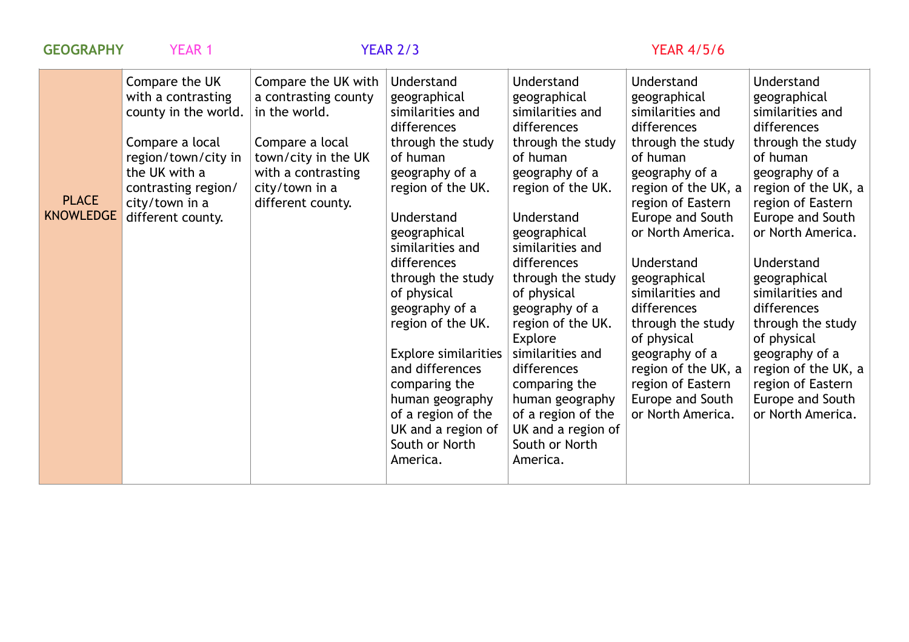| <b>GEOGRAPHY</b>                 | <b>YEAR 1</b>                                                                                                                                                                         |                                                                                                                                                                     | <b>YEAR 2/3</b>                                                                                                                                                                                                                                                                                                                                                                                                                                   | <b>YEAR 4/5/6</b>                                                                                                                                                                                                                                                                                                                                                                                                                             |                                                                                                                                                                                                                                                                                                                                                                                                                   |                                                                                                                                                                                                                                                                                                                                                                                                                   |
|----------------------------------|---------------------------------------------------------------------------------------------------------------------------------------------------------------------------------------|---------------------------------------------------------------------------------------------------------------------------------------------------------------------|---------------------------------------------------------------------------------------------------------------------------------------------------------------------------------------------------------------------------------------------------------------------------------------------------------------------------------------------------------------------------------------------------------------------------------------------------|-----------------------------------------------------------------------------------------------------------------------------------------------------------------------------------------------------------------------------------------------------------------------------------------------------------------------------------------------------------------------------------------------------------------------------------------------|-------------------------------------------------------------------------------------------------------------------------------------------------------------------------------------------------------------------------------------------------------------------------------------------------------------------------------------------------------------------------------------------------------------------|-------------------------------------------------------------------------------------------------------------------------------------------------------------------------------------------------------------------------------------------------------------------------------------------------------------------------------------------------------------------------------------------------------------------|
| <b>PLACE</b><br><b>KNOWLEDGE</b> | Compare the UK<br>with a contrasting<br>county in the world.<br>Compare a local<br>region/town/city in<br>the UK with a<br>contrasting region/<br>city/town in a<br>different county. | Compare the UK with<br>a contrasting county<br>in the world.<br>Compare a local<br>town/city in the UK<br>with a contrasting<br>city/town in a<br>different county. | Understand<br>geographical<br>similarities and<br>differences<br>through the study<br>of human<br>geography of a<br>region of the UK.<br>Understand<br>geographical<br>similarities and<br>differences<br>through the study<br>of physical<br>geography of a<br>region of the UK.<br><b>Explore similarities</b><br>and differences<br>comparing the<br>human geography<br>of a region of the<br>UK and a region of<br>South or North<br>America. | Understand<br>geographical<br>similarities and<br>differences<br>through the study<br>of human<br>geography of a<br>region of the UK.<br>Understand<br>geographical<br>similarities and<br>differences<br>through the study<br>of physical<br>geography of a<br>region of the UK.<br>Explore<br>similarities and<br>differences<br>comparing the<br>human geography<br>of a region of the<br>UK and a region of<br>South or North<br>America. | Understand<br>geographical<br>similarities and<br>differences<br>through the study<br>of human<br>geography of a<br>region of the UK, a<br>region of Eastern<br>Europe and South<br>or North America.<br>Understand<br>geographical<br>similarities and<br>differences<br>through the study<br>of physical<br>geography of a<br>region of the UK, a<br>region of Eastern<br>Europe and South<br>or North America. | Understand<br>geographical<br>similarities and<br>differences<br>through the study<br>of human<br>geography of a<br>region of the UK, a<br>region of Eastern<br>Europe and South<br>or North America.<br>Understand<br>geographical<br>similarities and<br>differences<br>through the study<br>of physical<br>geography of a<br>region of the UK, a<br>region of Eastern<br>Europe and South<br>or North America. |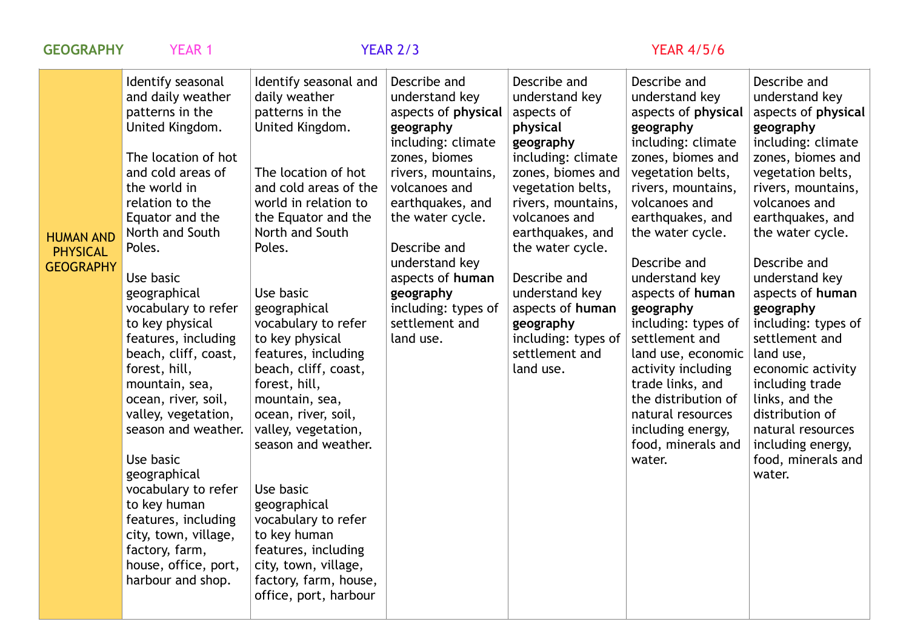| <b>GEOGRAPHY</b>                                        | <b>YEAR 1</b>                                                                                                                                                                                                                                                                                                                                                                                                                                                                                                                                                                                                               |                                                                                                                                                                                                                                                                                                                                                                                                                                                                                                                                                                                                             | <b>YEAR 2/3</b>                                                                                                                                                                                                                                                                                                   |                                                                                                                                                                                                                                                                                                                                               | <b>YEAR 4/5/6</b>                                                                                                                                                                                                                                                                                                                                                                                                                                                                              |                                                                                                                                                                                                                                                                                                                                                                                                                                                                                                   |
|---------------------------------------------------------|-----------------------------------------------------------------------------------------------------------------------------------------------------------------------------------------------------------------------------------------------------------------------------------------------------------------------------------------------------------------------------------------------------------------------------------------------------------------------------------------------------------------------------------------------------------------------------------------------------------------------------|-------------------------------------------------------------------------------------------------------------------------------------------------------------------------------------------------------------------------------------------------------------------------------------------------------------------------------------------------------------------------------------------------------------------------------------------------------------------------------------------------------------------------------------------------------------------------------------------------------------|-------------------------------------------------------------------------------------------------------------------------------------------------------------------------------------------------------------------------------------------------------------------------------------------------------------------|-----------------------------------------------------------------------------------------------------------------------------------------------------------------------------------------------------------------------------------------------------------------------------------------------------------------------------------------------|------------------------------------------------------------------------------------------------------------------------------------------------------------------------------------------------------------------------------------------------------------------------------------------------------------------------------------------------------------------------------------------------------------------------------------------------------------------------------------------------|---------------------------------------------------------------------------------------------------------------------------------------------------------------------------------------------------------------------------------------------------------------------------------------------------------------------------------------------------------------------------------------------------------------------------------------------------------------------------------------------------|
| <b>HUMAN AND</b><br><b>PHYSICAL</b><br><b>GEOGRAPHY</b> | Identify seasonal<br>and daily weather<br>patterns in the<br>United Kingdom.<br>The location of hot<br>and cold areas of<br>the world in<br>relation to the<br>Equator and the<br>North and South<br>Poles.<br>Use basic<br>geographical<br>vocabulary to refer<br>to key physical<br>features, including<br>beach, cliff, coast,<br>forest, hill,<br>mountain, sea,<br>ocean, river, soil,<br>valley, vegetation,<br>season and weather.<br>Use basic<br>geographical<br>vocabulary to refer<br>to key human<br>features, including<br>city, town, village,<br>factory, farm,<br>house, office, port,<br>harbour and shop. | Identify seasonal and<br>daily weather<br>patterns in the<br>United Kingdom.<br>The location of hot<br>and cold areas of the<br>world in relation to<br>the Equator and the<br>North and South<br>Poles.<br>Use basic<br>geographical<br>vocabulary to refer<br>to key physical<br>features, including<br>beach, cliff, coast,<br>forest, hill,<br>mountain, sea,<br>ocean, river, soil,<br>valley, vegetation,<br>season and weather.<br>Use basic<br>geographical<br>vocabulary to refer<br>to key human<br>features, including<br>city, town, village,<br>factory, farm, house,<br>office, port, harbour | Describe and<br>understand key<br>aspects of physical<br>geography<br>including: climate<br>zones, biomes<br>rivers, mountains,<br>volcanoes and<br>earthquakes, and<br>the water cycle.<br>Describe and<br>understand key<br>aspects of human<br>geography<br>including: types of<br>settlement and<br>land use. | Describe and<br>understand key<br>aspects of<br>physical<br>geography<br>including: climate<br>zones, biomes and<br>vegetation belts,<br>rivers, mountains,<br>volcanoes and<br>earthquakes, and<br>the water cycle.<br>Describe and<br>understand key<br>aspects of human<br>geography<br>including: types of<br>settlement and<br>land use. | Describe and<br>understand key<br>aspects of physical<br>geography<br>including: climate<br>zones, biomes and<br>vegetation belts,<br>rivers, mountains,<br>volcanoes and<br>earthquakes, and<br>the water cycle.<br>Describe and<br>understand key<br>aspects of human<br>geography<br>including: types of<br>settlement and<br>land use, economic<br>activity including<br>trade links, and<br>the distribution of<br>natural resources<br>including energy,<br>food, minerals and<br>water. | Describe and<br>understand key<br>aspects of physical<br>geography<br>including: climate<br>zones, biomes and<br>vegetation belts,<br>rivers, mountains,<br>volcanoes and<br>earthquakes, and<br>the water cycle.<br>Describe and<br>understand key<br>aspects of human<br>geography<br>including: types of<br>settlement and<br>land use,<br>economic activity<br>including trade<br>links, and the<br>distribution of<br>natural resources<br>including energy,<br>food, minerals and<br>water. |